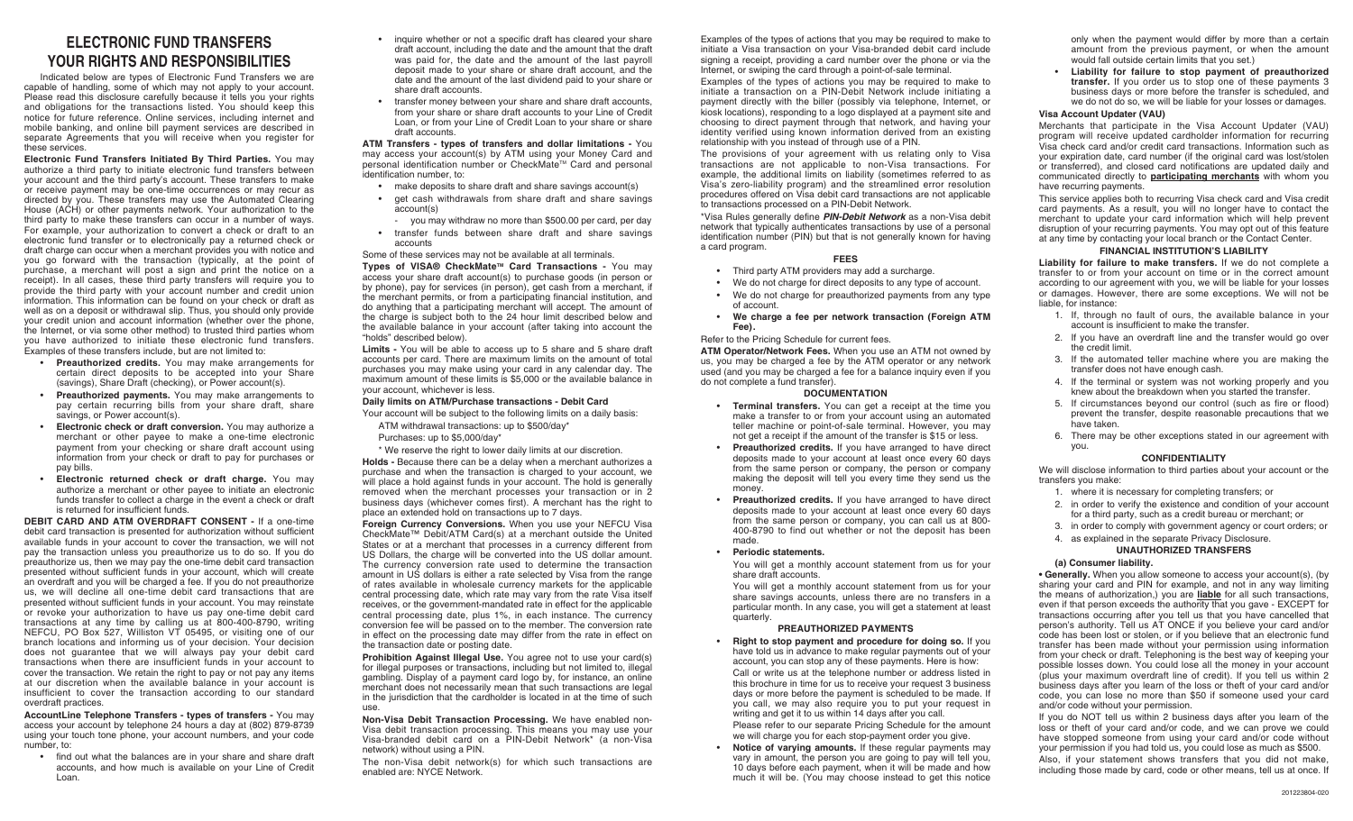### **ELECTRONIC FUND TRANSFERS YOUR RIGHTS AND RESPONSIBILITIES**

Indicated below are types of Electronic Fund Transfers we are capable of handling, some of which may not apply to your account. Please read this disclosure carefully because it tells you your rights and obligations for the transactions listed. You should keep this notice for future reference. Online services, including internet and mobile banking, and online bill payment services are described in separate Agreements that you will receive when you register for these services.

**Electronic Fund Transfers Initiated By Third Parties.** You may authorize a third party to initiate electronic fund transfers between your account and the third party's account. These transfers to make or receive payment may be one-time occurrences or may recur as directed by you. These transfers may use the Automated Clearing House (ACH) or other payments network. Your authorization to the third party to make these transfers can occur in a number of ways. For example, your authorization to convert a check or draft to an electronic fund transfer or to electronically pay a returned check or draft charge can occur when a merchant provides you with notice and you go forward with the transaction (typically, at the point of purchase, a merchant will post a sign and print the notice on a receipt). In all cases, these third party transfers will require you to provide the third party with your account number and credit union information. This information can be found on your check or draft as well as on a deposit or withdrawal slip. Thus, you should only provide your credit union and account information (whether over the phone, the Internet, or via some other method) to trusted third parties whom you have authorized to initiate these electronic fund transfers. Examples of these transfers include, but are not limited to:

- **Preauthorized credits.** You may make arrangements for certain direct deposits to be accepted into your Share (savings), Share Draft (checking), or Power account(s).
- **Preauthorized payments.** You may make arrangements to pay certain recurring bills from your share draft, share savings, or Power account(s).
- **Electronic check or draft conversion.** You may authorize a merchant or other payee to make a one-time electronic payment from your checking or share draft account using information from your check or draft to pay for purchases or pay bills.
- **Electronic returned check or draft charge.** You may authorize a merchant or other payee to initiate an electronic funds transfer to collect a charge in the event a check or draft is returned for insufficient funds.

**DEBIT CARD AND ATM OVERDRAFT CONSENT -** If a one-time debit card transaction is presented for authorization without sufficient available funds in your account to cover the transaction, we will not pay the transaction unless you preauthorize us to do so. If you do preauthorize us, then we may pay the one-time debit card transaction presented without sufficient funds in your account, which will create an overdraft and you will be charged a fee. If you do not preauthorize us, we will decline all one-time debit card transactions that are presented without sufficient funds in your account. You may reinstate or revoke your authorization to have us pay one-time debit card transactions at any time by calling us at 800-400-8790, writing NEFCU, PO Box 527, Williston VT 05495, or visiting one of our branch locations and informing us of your decision. Your decision does not guarantee that we will always pay your debit card transactions when there are insufficient funds in your account to cover the transaction. We retain the right to pay or not pay any items at our discretion when the available balance in your account is insufficient to cover the transaction according to our standard overdraft practices.

**AccountLine Telephone Transfers - types of transfers -** You may access your account by telephone 24 hours a day at (802) 879-8739 using your touch tone phone, your account numbers, and your code number to:

• find out what the balances are in your share and share draft accounts, and how much is available on your Line of Credit Loan.

- inquire whether or not a specific draft has cleared your share draft account, including the date and the amount that the draft was paid for, the date and the amount of the last payroll deposit made to your share or share draft account, and the date and the amount of the last dividend paid to your share or share draft accounts.
- transfer money between your share and share draft accounts, from your share or share draft accounts to your Line of Credit Loan, or from your Line of Credit Loan to your share or share draft accounts.

**ATM Transfers - types of transfers and dollar limitations -** You may access your account(s) by ATM using your Money Card and personal identification number or CheckMate™ Card and personal identification number, to:

- make deposits to share draft and share savings account(s)
- get cash withdrawals from share draft and share savings account(s)
- you may withdraw no more than \$500.00 per card, per day • transfer funds between share draft and share savings accounts

Some of these services may not be available at all terminals.

**Types of VISA® CheckMate™ Card Transactions - You may** access your share draft account(s) to purchase goods (in person or by phone), pay for services (in person), get cash from a merchant, if the merchant permits, or from a participating financial institution, and do anything that a participating merchant will accept. The amount of the charge is subject both to the 24 hour limit described below and the available balance in your account (after taking into account the "holds" described below).

**Limits -** You will be able to access up to 5 share and 5 share draft accounts per card. There are maximum limits on the amount of total purchases you may make using your card in any calendar day. The maximum amount of these limits is \$5,000 or the available balance in your account, whichever is less.

#### **Daily limits on ATM/Purchase transactions - Debit Card**

Your account will be subject to the following limits on a daily basis:

- ATM withdrawal transactions: up to \$500/day\*
- Purchases: up to \$5,000/day\*

\* We reserve the right to lower daily limits at our discretion.

**Holds -** Because there can be a delay when a merchant authorizes a purchase and when the transaction is charged to your account, we will place a hold against funds in your account. The hold is generally removed when the merchant processes your transaction or in 2 business days (whichever comes first). A merchant has the right to place an extended hold on transactions up to 7 days.

**Foreign Currency Conversions.** When you use your NEFCU Visa CheckMate™ Debit/ATM Card(s) at a merchant outside the United States or at a merchant that processes in a currency different from US Dollars, the charge will be converted into the US dollar amount. The currency conversion rate used to determine the transaction amount in US dollars is either a rate selected by Visa from the range of rates available in wholesale currency markets for the applicable central processing date, which rate may vary from the rate Visa itself receives, or the government-mandated rate in effect for the applicable central processing date, plus 1%, in each instance. The currency conversion fee will be passed on to the member. The conversion rate in effect on the processing date may differ from the rate in effect on the transaction date or posting date.

**Prohibition Against Illegal Use.** You agree not to use your card(s) for illegal purposes or transactions, including but not limited to, illegal gambling. Display of a payment card logo by, for instance, an online merchant does not necessarily mean that such transactions are legal in the jurisdiction that the cardholder is located in at the time of such use.

**Non-Visa Debit Transaction Processing.** We have enabled non-Visa debit transaction processing. This means you may use your Visa-branded debit card on a PIN-Debit Network\* (a non-Visa network) without using a PIN.

The non-Visa debit network(s) for which such transactions are enabled are: NYCE Network.

Examples of the types of actions that you may be required to make to initiate a Visa transaction on your Visa-branded debit card include signing a receipt, providing a card number over the phone or via the Internet, or swiping the card through a point-of-sale terminal.

Examples of the types of actions you may be required to make to initiate a transaction on a PIN-Debit Network include initiating a payment directly with the biller (possibly via telephone, Internet, or kiosk locations), responding to a logo displayed at a payment site and choosing to direct payment through that network, and having your identity verified using known information derived from an existing relationship with you instead of through use of a PIN.

The provisions of your agreement with us relating only to Visa transactions are not applicable to non-Visa transactions. For example, the additional limits on liability (sometimes referred to as Visa's zero-liability program) and the streamlined error resolution procedures offered on Visa debit card transactions are not applicable to transactions processed on a PIN-Debit Network.

\*Visa Rules generally define **PIN-Debit Network** as a non-Visa debit network that typically authenticates transactions by use of a personal identification number (PIN) but that is not generally known for having a card program.

#### **FEES**

- Third party ATM providers may add a surcharge.
- We do not charge for direct deposits to any type of account.
- We do not charge for preauthorized payments from any type of account.
- **We charge a fee per network transaction (Foreign ATM Fee).**

Refer to the Pricing Schedule for current fees.

**ATM Operator/Network Fees.** When you use an ATM not owned by us, you may be charged a fee by the ATM operator or any network used (and you may be charged a fee for a balance inquiry even if you do not complete a fund transfer).

#### **DOCUMENTATION**

- **Terminal transfers.** You can get a receipt at the time you make a transfer to or from your account using an automated teller machine or point-of-sale terminal. However, you may not get a receipt if the amount of the transfer is \$15 or less.
- **Preauthorized credits.** If you have arranged to have direct deposits made to your account at least once every 60 days from the same person or company, the person or company making the deposit will tell you every time they send us the money.
- **Preauthorized credits.** If you have arranged to have direct deposits made to your account at least once every 60 days from the same person or company, you can call us at 800- 400-8790 to find out whether or not the deposit has been made.
- **Periodic statements.**

You will get a monthly account statement from us for your share draft accounts.

You will get a monthly account statement from us for your share savings accounts, unless there are no transfers in a particular month. In any case, you will get a statement at least quarterly.

#### **PREAUTHORIZED PAYMENTS**

**Right to stop payment and procedure for doing so.** If you have told us in advance to make regular payments out of your account, you can stop any of these payments. Here is how: Call or write us at the telephone number or address listed in this brochure in time for us to receive your request 3 business days or more before the payment is scheduled to be made. If you call, we may also require you to put your request in writing and get it to us within 14 days after you call.

Please refer to our separate Pricing Schedule for the amount we will charge you for each stop-payment order you give.

**Notice of varying amounts.** If these regular payments may vary in amount, the person you are going to pay will tell you, 10 days before each payment, when it will be made and how much it will be. (You may choose instead to get this notice

only when the payment would differ by more than a certain amount from the previous payment, or when the amount would fall outside certain limits that you set.)

• **Liability for failure to stop payment of preauthorized transfer.** If you order us to stop one of these payments 3 business days or more before the transfer is scheduled, and we do not do so, we will be liable for your losses or damages.

#### **Visa Account Updater (VAU)**

Merchants that participate in the Visa Account Updater (VAU) program will receive updated cardholder information for recurring Visa check card and/or credit card transactions. Information such as your expiration date, card number (if the original card was lost/stolen or transferred), and closed card notifications are updated daily and communicated directly to **participating merchants** with whom you have recurring payments.

This service applies both to recurring Visa check card and Visa credit card payments. As a result, you will no longer have to contact the merchant to update your card information which will help prevent disruption of your recurring payments. You may opt out of this feature at any time by contacting your local branch or the Contact Center.

#### **FINANCIAL INSTITUTION'S LIABILITY**

**Liability for failure to make transfers.** If we do not complete a transfer to or from your account on time or in the correct amount according to our agreement with you, we will be liable for your losses or damages. However, there are some exceptions. We will not be liable, for instance:

- 1. If, through no fault of ours, the available balance in your account is insufficient to make the transfer.
- 2. If you have an overdraft line and the transfer would go over the credit limit.
- 3. If the automated teller machine where you are making the transfer does not have enough cash.
- 4. If the terminal or system was not working properly and you knew about the breakdown when you started the transfer.
- 5. If circumstances beyond our control (such as fire or flood) prevent the transfer, despite reasonable precautions that we have taken.
- 6. There may be other exceptions stated in our agreement with you.

#### **CONFIDENTIALITY**

We will disclose information to third parties about your account or the transfers you make:

- 1. where it is necessary for completing transfers; or
- 2. in order to verify the existence and condition of your account for a third party, such as a credit bureau or merchant; or
- 3. in order to comply with government agency or court orders; or
- 4. as explained in the separate Privacy Disclosure.

#### **UNAUTHORIZED TRANSFERS (a) Consumer liability.**

**• Generally.** When you allow someone to access your account(s), (by sharing your card and PIN for example, and not in any way limiting the means of authorization,) you are **liable** for all such transactions, even if that person exceeds the authority that you gave - EXCEPT for transactions occurring after you tell us that you have cancelled that person's authority. Tell us AT ONCE if you believe your card and/or code has been lost or stolen, or if you believe that an electronic fund transfer has been made without your permission using information from your check or draft. Telephoning is the best way of keeping your possible losses down. You could lose all the money in your account (plus your maximum overdraft line of credit). If you tell us within 2 business days after you learn of the loss or theft of your card and/or code, you can lose no more than \$50 if someone used your card and/or code without your permission.

If you do NOT tell us within 2 business days after you learn of the loss or theft of your card and/or code, and we can prove we could have stopped someone from using your card and/or code without your permission if you had told us, you could lose as much as \$500.

Also, if your statement shows transfers that you did not make, including those made by card, code or other means, tell us at once. If